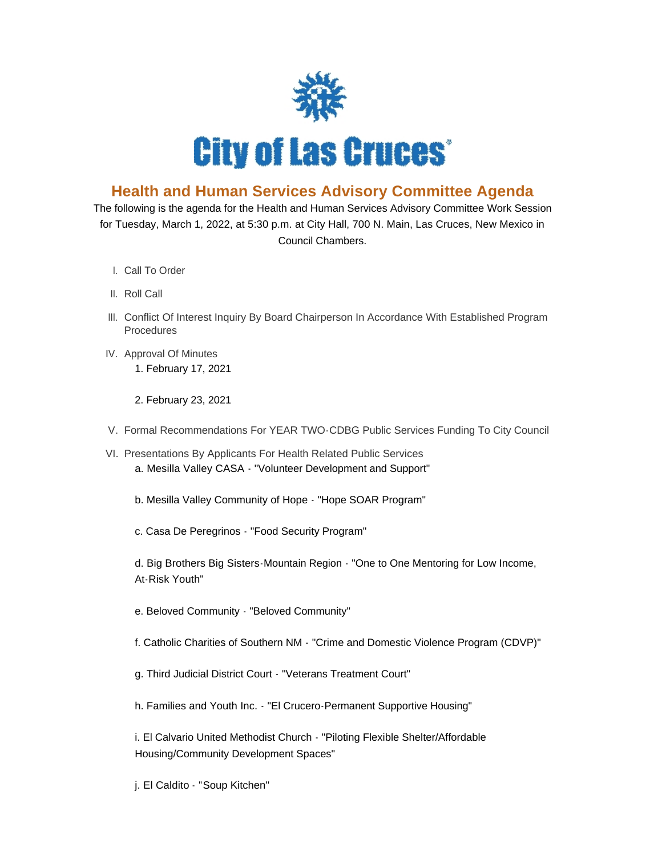

## **Health and Human Services Advisory Committee Agenda**

The following is the agenda for the Health and Human Services Advisory Committee Work Session for Tuesday, March 1, 2022, at 5:30 p.m. at City Hall, 700 N. Main, Las Cruces, New Mexico in Council Chambers.

- l. Call To Order
- II. Roll Call
- III. Conflict Of Interest Inquiry By Board Chairperson In Accordance With Established Program Procedures
- IV. Approval Of Minutes 1. February 17, 2021

2. February 23, 2021

- V. Formal Recommendations For YEAR TWO-CDBG Public Services Funding To City Council
- VI. Presentations By Applicants For Health Related Public Services a. Mesilla Valley CASA - "Volunteer Development and Support"
	- b. Mesilla Valley Community of Hope "Hope SOAR Program"
	- c. Casa De Peregrinos "Food Security Program"

d. Big Brothers Big Sisters-Mountain Region - "One to One Mentoring for Low Income, At-Risk Youth"

- e. Beloved Community "Beloved Community"
- f. Catholic Charities of Southern NM "Crime and Domestic Violence Program (CDVP)"
- g. Third Judicial District Court "Veterans Treatment Court"
- h. Families and Youth Inc. "El Crucero-Permanent Supportive Housing"

i. El Calvario United Methodist Church - "Piloting Flexible Shelter/Affordable Housing/Community Development Spaces"

j. El Caldito - "Soup Kitchen"